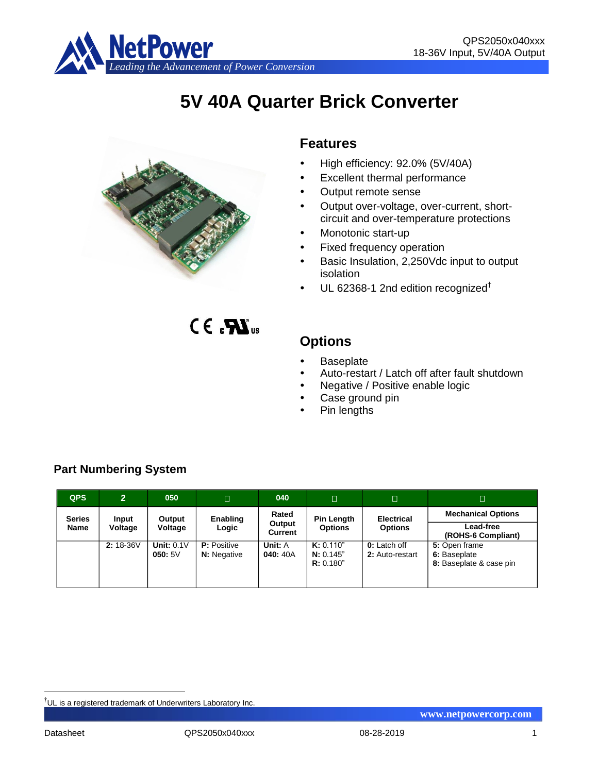

# **5V 40A Quarter Brick Converter**



# **Features**

- High efficiency: 92.0% (5V/40A)
- Excellent thermal performance
- Output remote sense
- Output over-voltage, over-current, shortcircuit and over-temperature protections
- Monotonic start-up
- Fixed frequency operation
- Basic Insulation, 2,250Vdc input to output isolation
- $\cdot$  UL 62368-1 2nd edition recognized<sup>†</sup>

 $CE_{c}$  $M_{us}$ 

# **Options**

- Baseplate
- Auto-restart / Latch off after fault shutdown
- Negative / Positive enable logic
- Case ground pin
- Pin lengths

| <b>QPS</b>    | $\overline{2}$ | 050                    | $\Box$                                                         | 040                | $\Box$                              | $\Box$                                 | Π                                                        |
|---------------|----------------|------------------------|----------------------------------------------------------------|--------------------|-------------------------------------|----------------------------------------|----------------------------------------------------------|
| <b>Series</b> | Input          | Output                 | Rated<br>Enabling                                              | <b>Pin Length</b>  | <b>Electrical</b>                   | <b>Mechanical Options</b>              |                                                          |
| <b>Name</b>   | Voltage        | Voltage                | Output<br><b>Options</b><br><b>Options</b><br>Logic<br>Current |                    |                                     | Lead-free<br>(ROHS-6 Compliant)        |                                                          |
|               | 2:18-36V       | Unit: $0.1V$<br>050:5V | <b>P:</b> Positive<br><b>N:</b> Negative                       | Unit: A<br>040:40A | K: 0.110"<br>N: 0.145"<br>R: 0.180" | <b>0:</b> Latch off<br>2: Auto-restart | 5: Open frame<br>6: Baseplate<br>8: Baseplate & case pin |

# **Part Numbering System**

<u>.</u>

<sup>†</sup>UL is a registered trademark of Underwriters Laboratory Inc.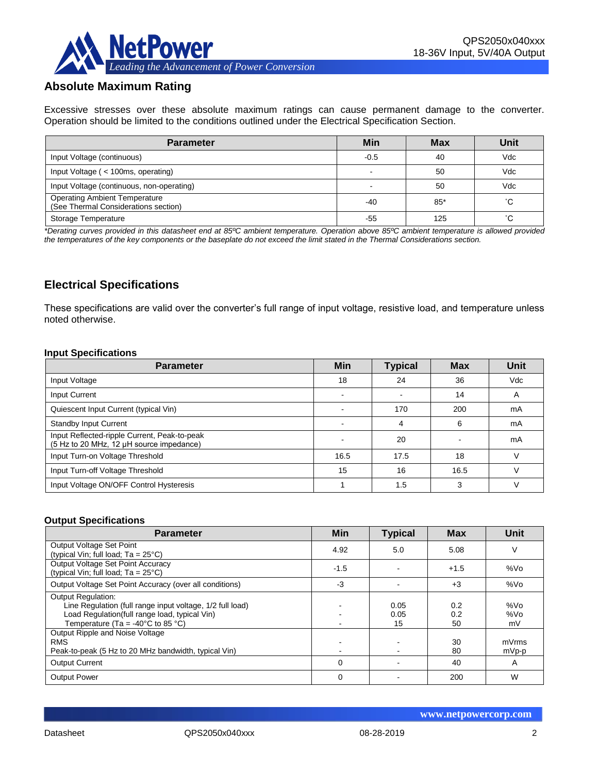

# **Absolute Maximum Rating**

Excessive stresses over these absolute maximum ratings can cause permanent damage to the converter. Operation should be limited to the conditions outlined under the Electrical Specification Section.

| <b>Parameter</b>                                                             | Min    | <b>Max</b> | Unit |
|------------------------------------------------------------------------------|--------|------------|------|
| Input Voltage (continuous)                                                   | $-0.5$ | 40         | Vdc  |
| Input Voltage (< 100ms, operating)                                           |        | 50         | Vdc  |
| Input Voltage (continuous, non-operating)                                    |        | 50         | Vdc  |
| <b>Operating Ambient Temperature</b><br>(See Thermal Considerations section) | $-40$  | $85*$      | °С   |
| Storage Temperature                                                          | -55    | 125        | °С   |

*\*Derating curves provided in this datasheet end at 85ºC ambient temperature. Operation above 85ºC ambient temperature is allowed provided the temperatures of the key components or the baseplate do not exceed the limit stated in the Thermal Considerations section.*

# **Electrical Specifications**

These specifications are valid over the converter's full range of input voltage, resistive load, and temperature unless noted otherwise.

#### **Input Specifications**

| <b>Parameter</b>                                                                         | <b>Min</b> | <b>Typical</b> | <b>Max</b> | Unit       |
|------------------------------------------------------------------------------------------|------------|----------------|------------|------------|
| Input Voltage                                                                            | 18         | 24             | 36         | <b>Vdc</b> |
| Input Current                                                                            |            |                | 14         | A          |
| Quiescent Input Current (typical Vin)                                                    |            | 170            | 200        | mA         |
| <b>Standby Input Current</b>                                                             |            | Δ              | 6          | mA         |
| Input Reflected-ripple Current, Peak-to-peak<br>(5 Hz to 20 MHz, 12 µH source impedance) |            | 20             |            | mA         |
| Input Turn-on Voltage Threshold                                                          | 16.5       | 17.5           | 18         |            |
| Input Turn-off Voltage Threshold                                                         | 15         | 16             | 16.5       |            |
| Input Voltage ON/OFF Control Hysteresis                                                  |            | 1.5            | 3          |            |

#### **Output Specifications**

| <b>Parameter</b>                                                                                                                                                                                  | Min      | <b>Typical</b>     | <b>Max</b>       | Unit             |
|---------------------------------------------------------------------------------------------------------------------------------------------------------------------------------------------------|----------|--------------------|------------------|------------------|
| Output Voltage Set Point<br>(typical Vin; full load; $Ta = 25^{\circ}C$ )                                                                                                                         | 4.92     | 5.0                | 5.08             | V                |
| Output Voltage Set Point Accuracy<br>(typical Vin; full load; $Ta = 25^{\circ}C$ )                                                                                                                | $-1.5$   |                    | $+1.5$           | %Vo              |
| Output Voltage Set Point Accuracy (over all conditions)                                                                                                                                           | -3       |                    | $+3$             | %Vo              |
| <b>Output Regulation:</b><br>Line Regulation (full range input voltage, 1/2 full load)<br>Load Regulation(full range load, typical Vin)<br>Temperature (Ta = -40 $^{\circ}$ C to 85 $^{\circ}$ C) |          | 0.05<br>0.05<br>15 | 0.2<br>0.2<br>50 | %Vo<br>%Vo<br>mV |
| Output Ripple and Noise Voltage<br><b>RMS</b><br>Peak-to-peak (5 Hz to 20 MHz bandwidth, typical Vin)                                                                                             |          |                    | 30<br>80         | mVrms<br>mVp-p   |
| <b>Output Current</b>                                                                                                                                                                             | $\Omega$ |                    | 40               | A                |
| <b>Output Power</b>                                                                                                                                                                               | 0        |                    | 200              | W                |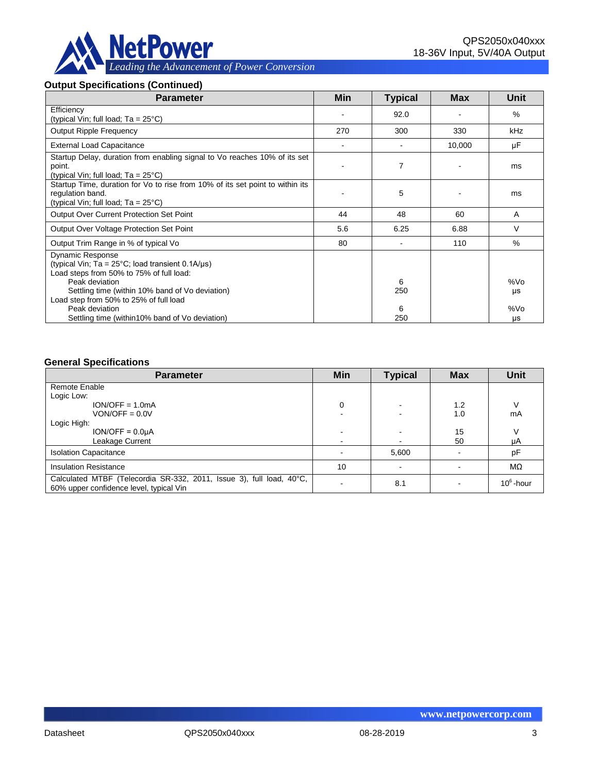

#### **Output Specifications (Continued)**

| <b>Parameter</b>                                                                                                                                                                                                                                       | Min | <b>Typical</b> | <b>Max</b> | <b>Unit</b> |
|--------------------------------------------------------------------------------------------------------------------------------------------------------------------------------------------------------------------------------------------------------|-----|----------------|------------|-------------|
| Efficiency<br>(typical Vin; full load; $Ta = 25^{\circ}C$ )                                                                                                                                                                                            |     | 92.0           |            | $\%$        |
| <b>Output Ripple Frequency</b>                                                                                                                                                                                                                         | 270 | 300            | 330        | kHz         |
| <b>External Load Capacitance</b>                                                                                                                                                                                                                       |     |                | 10,000     | μF          |
| Startup Delay, duration from enabling signal to Vo reaches 10% of its set<br>point.<br>(typical Vin; full load; $Ta = 25^{\circ}C$ )                                                                                                                   |     | 7              |            | ms          |
| Startup Time, duration for Vo to rise from 10% of its set point to within its<br>regulation band.<br>(typical Vin; full load; $Ta = 25^{\circ}C$ )                                                                                                     |     | 5              |            | ms          |
| <b>Output Over Current Protection Set Point</b>                                                                                                                                                                                                        | 44  | 48             | 60         | A           |
| Output Over Voltage Protection Set Point                                                                                                                                                                                                               | 5.6 | 6.25           | 6.88       | V           |
| Output Trim Range in % of typical Vo                                                                                                                                                                                                                   | 80  |                | 110        | $\%$        |
| <b>Dynamic Response</b><br>(typical Vin; Ta = $25^{\circ}$ C; load transient 0.1A/ $\mu$ s)<br>Load steps from 50% to 75% of full load:<br>Peak deviation<br>Settling time (within 10% band of Vo deviation)<br>Load step from 50% to 25% of full load |     | 6<br>250       |            | %Vo<br>μs   |
| Peak deviation<br>Settling time (within 10% band of Vo deviation)                                                                                                                                                                                      |     | 6<br>250       |            | %Vo<br>μs   |

#### **General Specifications**

| <b>Parameter</b>                                                                                                | Min    | <b>Typical</b> | <b>Max</b> | <b>Unit</b>  |
|-----------------------------------------------------------------------------------------------------------------|--------|----------------|------------|--------------|
| Remote Enable                                                                                                   |        |                |            |              |
| Logic Low:                                                                                                      |        |                |            |              |
| $ION/OFF = 1.0mA$                                                                                               | 0      |                | 1.2        |              |
| $VON/OFF = 0.0V$                                                                                                |        |                | 1.0        | mA           |
| Logic High:                                                                                                     |        |                |            |              |
| $ION/OFF = 0.0µA$                                                                                               |        |                | 15         |              |
| Leakage Current                                                                                                 | $\sim$ |                | 50         | μA           |
| <b>Isolation Capacitance</b>                                                                                    |        | 5,600          |            | pF           |
| <b>Insulation Resistance</b>                                                                                    | 10     |                |            | MΩ           |
| Calculated MTBF (Telecordia SR-332, 2011, Issue 3), full load, 40°C,<br>60% upper confidence level, typical Vin |        | 8.1            |            | $10^6$ -hour |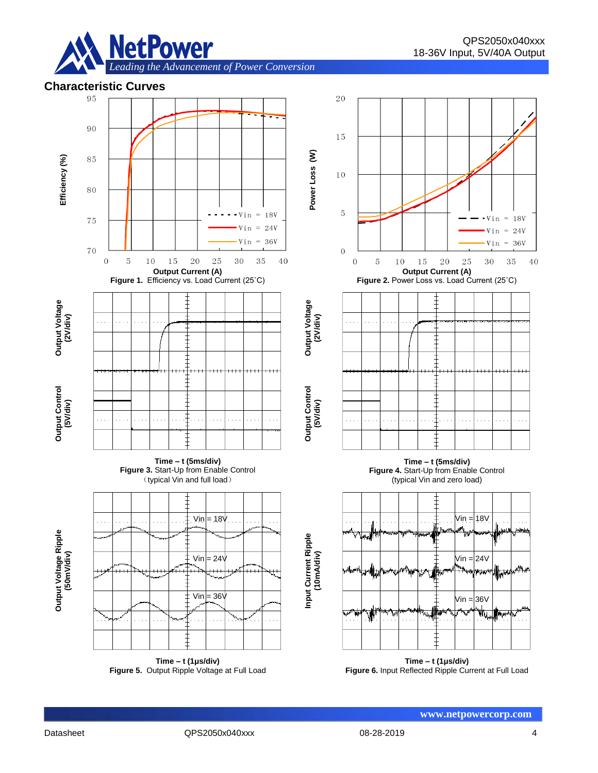

### **Characteristic Curves**



**Figure 5.** Output Ripple Voltage at Full Load

**Figure 6.** Input Reflected Ripple Current at Full Load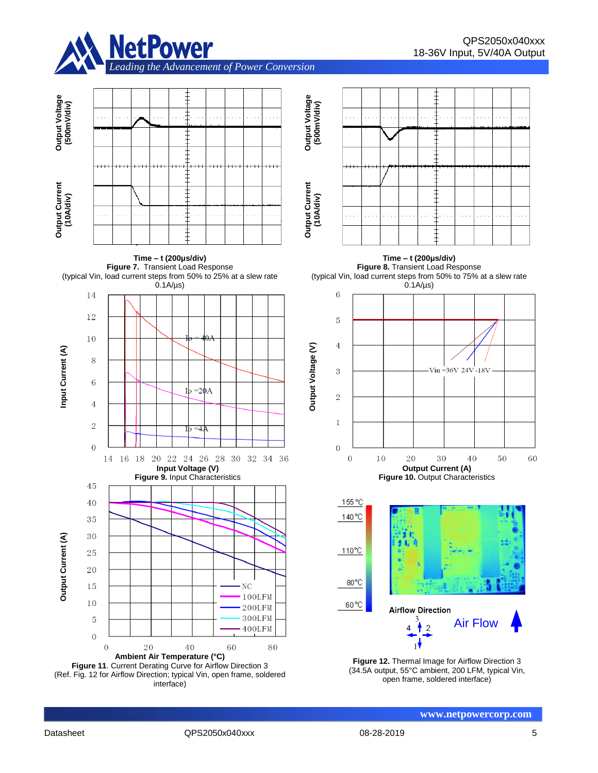











#### **Time – t (200μs/div) Figure 8.** Transient Load Response (typical Vin, load current steps from 50% to 75% at a slew rate





**Figure 12.** Thermal Image for Airflow Direction 3 (34.5A output, 55°C ambient, 200 LFM, typical Vin, open frame, soldered interface)

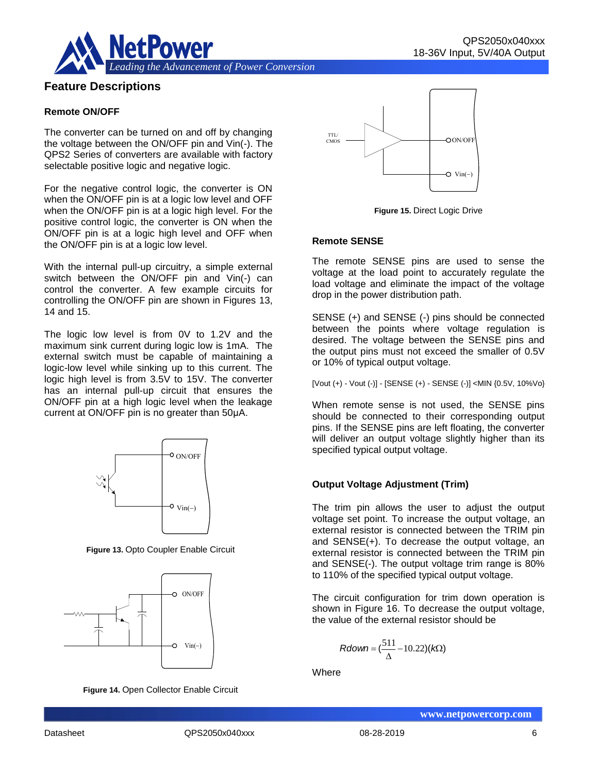

# **Feature Descriptions**

#### **Remote ON/OFF**

The converter can be turned on and off by changing the voltage between the ON/OFF pin and Vin(-). The QPS2 Series of converters are available with factory selectable positive logic and negative logic.

For the negative control logic, the converter is ON when the ON/OFF pin is at a logic low level and OFF when the ON/OFF pin is at a logic high level. For the positive control logic, the converter is ON when the ON/OFF pin is at a logic high level and OFF when the ON/OFF pin is at a logic low level.

With the internal pull-up circuitry, a simple external switch between the ON/OFF pin and Vin(-) can control the converter. A few example circuits for controlling the ON/OFF pin are shown in Figures 13, 14 and 15.

The logic low level is from 0V to 1.2V and the maximum sink current during logic low is 1mA. The external switch must be capable of maintaining a logic-low level while sinking up to this current. The logic high level is from 3.5V to 15V. The converter has an internal pull-up circuit that ensures the ON/OFF pin at a high logic level when the leakage current at ON/OFF pin is no greater than 50μA.



**Figure 13.** Opto Coupler Enable Circuit



**Figure 14.** Open Collector Enable Circuit



**Figure 15.** Direct Logic Drive

#### **Remote SENSE**

The remote SENSE pins are used to sense the voltage at the load point to accurately regulate the load voltage and eliminate the impact of the voltage drop in the power distribution path.

SENSE (+) and SENSE (-) pins should be connected between the points where voltage regulation is desired. The voltage between the SENSE pins and the output pins must not exceed the smaller of 0.5V or 10% of typical output voltage.

[Vout (+) - Vout (-)] - [SENSE (+) - SENSE (-)] <MIN {0.5V, 10%Vo}

When remote sense is not used, the SENSE pins should be connected to their corresponding output pins. If the SENSE pins are left floating, the converter will deliver an output voltage slightly higher than its specified typical output voltage.

#### **Output Voltage Adjustment (Trim)**

The trim pin allows the user to adjust the output voltage set point. To increase the output voltage, an external resistor is connected between the TRIM pin and SENSE(+). To decrease the output voltage, an external resistor is connected between the TRIM pin and SENSE(-). The output voltage trim range is 80% to 110% of the specified typical output voltage.

The circuit configuration for trim down operation is shown in Figure 16. To decrease the output voltage, the value of the external resistor should be

$$
Rdown = (\frac{511}{\Delta} - 10.22)(k\Omega)
$$

**Where**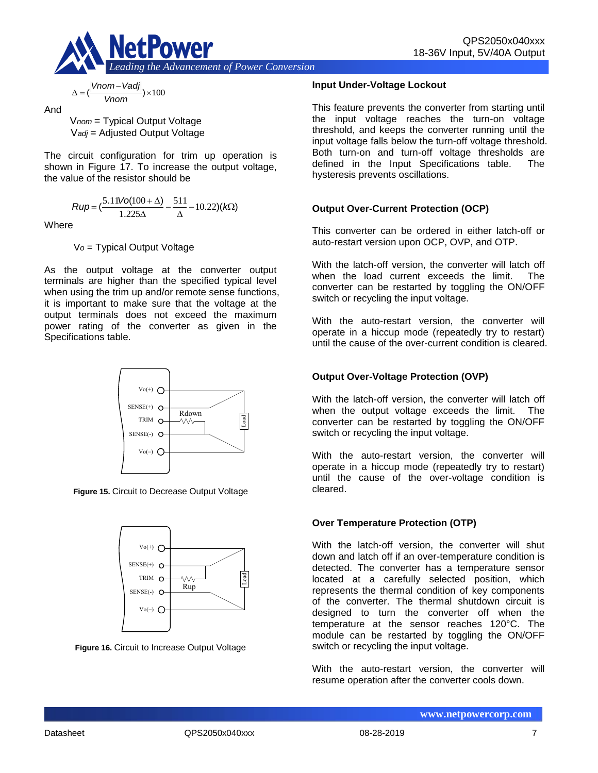

$$
\Delta = (\frac{|Vnom - Vadj|}{Vnom}) \times 100
$$

And

V*nom* = Typical Output Voltage V*adj* = Adjusted Output Voltage

The circuit configuration for trim up operation is shown in Figure 17. To increase the output voltage, the value of the resistor should be

$$
Rup = \left(\frac{5.11\text{Vol}(100 + \Delta)}{1.225\Delta} - \frac{511}{\Delta} - 10.22\right)(k\Omega)
$$

**Where** 

V*o* = Typical Output Voltage

As the output voltage at the converter output terminals are higher than the specified typical level when using the trim up and/or remote sense functions, it is important to make sure that the voltage at the output terminals does not exceed the maximum power rating of the converter as given in the Specifications table.



**Figure 15.** Circuit to Decrease Output Voltage



**Figure 16.** Circuit to Increase Output Voltage

#### **Input Under-Voltage Lockout**

This feature prevents the converter from starting until the input voltage reaches the turn-on voltage threshold, and keeps the converter running until the input voltage falls below the turn-off voltage threshold. Both turn-on and turn-off voltage thresholds are defined in the Input Specifications table. The hysteresis prevents oscillations.

### **Output Over-Current Protection (OCP)**

This converter can be ordered in either latch-off or auto-restart version upon OCP, OVP, and OTP.

With the latch-off version, the converter will latch off when the load current exceeds the limit. The converter can be restarted by toggling the ON/OFF switch or recycling the input voltage.

With the auto-restart version, the converter will operate in a hiccup mode (repeatedly try to restart) until the cause of the over-current condition is cleared.

### **Output Over-Voltage Protection (OVP)**

With the latch-off version, the converter will latch off when the output voltage exceeds the limit. The converter can be restarted by toggling the ON/OFF switch or recycling the input voltage.

With the auto-restart version, the converter will operate in a hiccup mode (repeatedly try to restart) until the cause of the over-voltage condition is cleared.

#### **Over Temperature Protection (OTP)**

With the latch-off version, the converter will shut down and latch off if an over-temperature condition is detected. The converter has a temperature sensor located at a carefully selected position, which represents the thermal condition of key components of the converter. The thermal shutdown circuit is designed to turn the converter off when the temperature at the sensor reaches 120°C. The module can be restarted by toggling the ON/OFF switch or recycling the input voltage.

With the auto-restart version, the converter will resume operation after the converter cools down.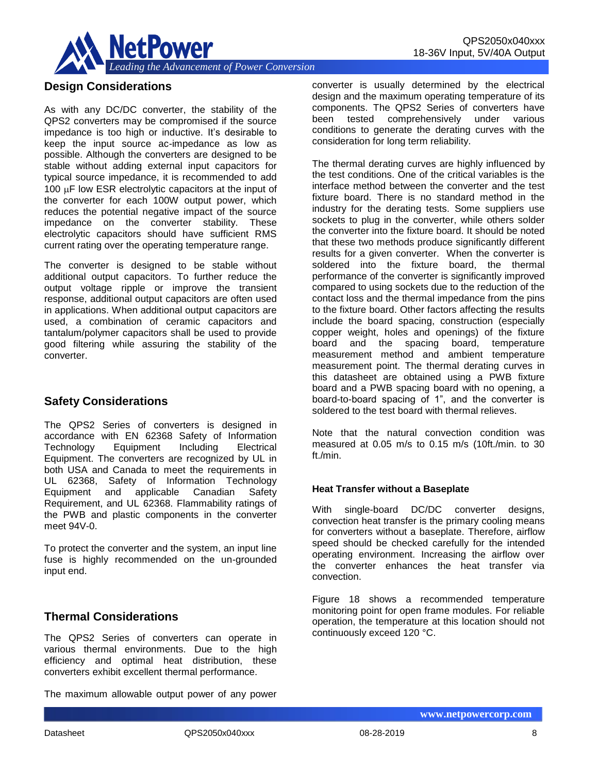

# **Design Considerations**

As with any DC/DC converter, the stability of the QPS2 converters may be compromised if the source impedance is too high or inductive. It's desirable to keep the input source ac-impedance as low as possible. Although the converters are designed to be stable without adding external input capacitors for typical source impedance, it is recommended to add 100  $\mu$ F low ESR electrolytic capacitors at the input of the converter for each 100W output power, which reduces the potential negative impact of the source impedance on the converter stability. These electrolytic capacitors should have sufficient RMS current rating over the operating temperature range.

The converter is designed to be stable without additional output capacitors. To further reduce the output voltage ripple or improve the transient response, additional output capacitors are often used in applications. When additional output capacitors are used, a combination of ceramic capacitors and tantalum/polymer capacitors shall be used to provide good filtering while assuring the stability of the converter.

# **Safety Considerations**

The QPS2 Series of converters is designed in accordance with EN 62368 Safety of Information Technology Equipment Including Electrical Equipment. The converters are recognized by UL in both USA and Canada to meet the requirements in UL 62368, Safety of Information Technology Equipment and applicable Canadian Safety Requirement, and UL 62368. Flammability ratings of the PWB and plastic components in the converter meet 94V-0.

To protect the converter and the system, an input line fuse is highly recommended on the un-grounded input end.

# **Thermal Considerations**

The QPS2 Series of converters can operate in various thermal environments. Due to the high efficiency and optimal heat distribution, these converters exhibit excellent thermal performance.

The maximum allowable output power of any power

converter is usually determined by the electrical design and the maximum operating temperature of its components. The QPS2 Series of converters have been tested comprehensively under various conditions to generate the derating curves with the consideration for long term reliability.

The thermal derating curves are highly influenced by the test conditions. One of the critical variables is the interface method between the converter and the test fixture board. There is no standard method in the industry for the derating tests. Some suppliers use sockets to plug in the converter, while others solder the converter into the fixture board. It should be noted that these two methods produce significantly different results for a given converter. When the converter is soldered into the fixture board, the thermal performance of the converter is significantly improved compared to using sockets due to the reduction of the contact loss and the thermal impedance from the pins to the fixture board. Other factors affecting the results include the board spacing, construction (especially copper weight, holes and openings) of the fixture board and the spacing board, temperature measurement method and ambient temperature measurement point. The thermal derating curves in this datasheet are obtained using a PWB fixture board and a PWB spacing board with no opening, a board-to-board spacing of 1", and the converter is soldered to the test board with thermal relieves.

Note that the natural convection condition was measured at 0.05 m/s to 0.15 m/s (10ft./min. to 30 ft./min.

#### **Heat Transfer without a Baseplate**

With single-board DC/DC converter designs, convection heat transfer is the primary cooling means for converters without a baseplate. Therefore, airflow speed should be checked carefully for the intended operating environment. Increasing the airflow over the converter enhances the heat transfer via convection.

Figure 18 shows a recommended temperature monitoring point for open frame modules. For reliable operation, the temperature at this location should not continuously exceed 120 °C.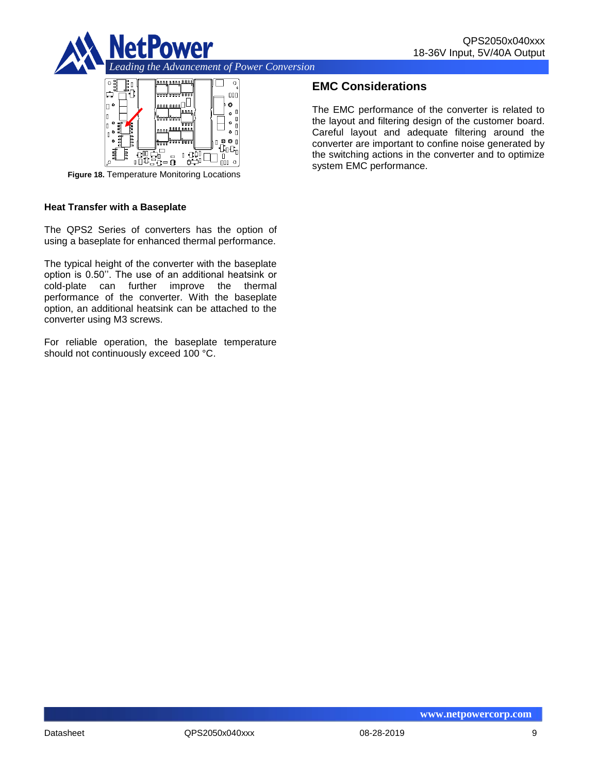



**Figure 18.** Temperature Monitoring Locations

#### **Heat Transfer with a Baseplate**

The QPS2 Series of converters has the option of using a baseplate for enhanced thermal performance.

The typical height of the converter with the baseplate option is 0.50''. The use of an additional heatsink or cold-plate can further improve the thermal performance of the converter. With the baseplate option, an additional heatsink can be attached to the converter using M3 screws.

For reliable operation, the baseplate temperature should not continuously exceed 100 °C.

# **EMC Considerations**

The EMC performance of the converter is related to the layout and filtering design of the customer board. Careful layout and adequate filtering around the converter are important to confine noise generated by the switching actions in the converter and to optimize system EMC performance.